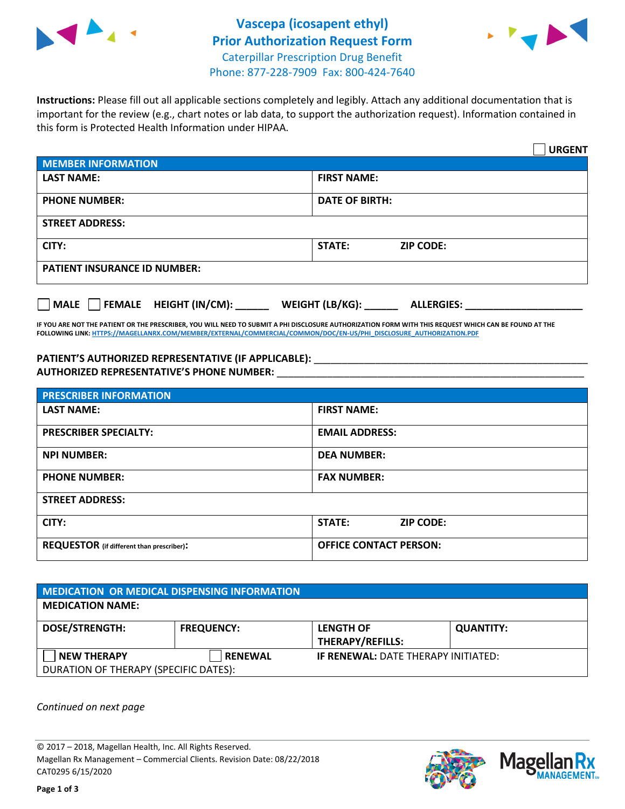



**Instructions:** Please fill out all applicable sections completely and legibly. Attach any additional documentation that is important for the review (e.g., chart notes or lab data, to support the authorization request). Information contained in this form is Protected Health Information under HIPAA.

|                                              | <b>URGENT</b>                        |  |  |  |
|----------------------------------------------|--------------------------------------|--|--|--|
| <b>MEMBER INFORMATION</b>                    |                                      |  |  |  |
| <b>LAST NAME:</b>                            | <b>FIRST NAME:</b>                   |  |  |  |
| <b>PHONE NUMBER:</b>                         | <b>DATE OF BIRTH:</b>                |  |  |  |
| <b>STREET ADDRESS:</b>                       |                                      |  |  |  |
| CITY:                                        | STATE:<br><b>ZIP CODE:</b>           |  |  |  |
| <b>PATIENT INSURANCE ID NUMBER:</b>          |                                      |  |  |  |
| $\Box$ FEMALE HEIGHT (IN/CM):<br><b>MALE</b> | WEIGHT (LB/KG):<br><b>ALLERGIES:</b> |  |  |  |

**IF YOU ARE NOT THE PATIENT OR THE PRESCRIBER, YOU WILL NEED TO SUBMIT A PHI DISCLOSURE AUTHORIZATION FORM WITH THIS REQUEST WHICH CAN BE FOUND AT THE FOLLOWING LINK[: HTTPS://MAGELLANRX.COM/MEMBER/EXTERNAL/COMMERCIAL/COMMON/DOC/EN-US/PHI\\_DISCLOSURE\\_AUTHORIZATION.PDF](https://magellanrx.com/member/external/commercial/common/doc/en-us/PHI_Disclosure_Authorization.pdf)**

PATIENT'S AUTHORIZED REPRESENTATIVE (IF APPLICABLE): \_\_\_\_\_\_\_\_\_\_\_\_\_\_\_\_\_\_\_\_\_\_\_\_\_\_\_ **AUTHORIZED REPRESENTATIVE'S PHONE NUMBER:** \_\_\_\_\_\_\_\_\_\_\_\_\_\_\_\_\_\_\_\_\_\_\_\_\_\_\_\_\_\_\_\_\_\_\_\_\_\_\_\_\_\_\_\_\_\_\_\_\_\_\_\_\_\_\_

| <b>PRESCRIBER INFORMATION</b>             |                               |  |  |  |
|-------------------------------------------|-------------------------------|--|--|--|
| <b>LAST NAME:</b>                         | <b>FIRST NAME:</b>            |  |  |  |
| <b>PRESCRIBER SPECIALTY:</b>              | <b>EMAIL ADDRESS:</b>         |  |  |  |
| <b>NPI NUMBER:</b>                        | <b>DEA NUMBER:</b>            |  |  |  |
| <b>PHONE NUMBER:</b>                      | <b>FAX NUMBER:</b>            |  |  |  |
| <b>STREET ADDRESS:</b>                    |                               |  |  |  |
| CITY:                                     | STATE:<br><b>ZIP CODE:</b>    |  |  |  |
| REQUESTOR (if different than prescriber): | <b>OFFICE CONTACT PERSON:</b> |  |  |  |

| <b>MEDICATION OR MEDICAL DISPENSING INFORMATION</b> |                   |                                            |                  |  |  |
|-----------------------------------------------------|-------------------|--------------------------------------------|------------------|--|--|
| <b>MEDICATION NAME:</b>                             |                   |                                            |                  |  |  |
| <b>DOSE/STRENGTH:</b>                               | <b>FREQUENCY:</b> | <b>LENGTH OF</b>                           | <b>QUANTITY:</b> |  |  |
|                                                     |                   | <b>THERAPY/REFILLS:</b>                    |                  |  |  |
| <b>NEW THERAPY</b>                                  | <b>RENEWAL</b>    | <b>IF RENEWAL: DATE THERAPY INITIATED:</b> |                  |  |  |
| DURATION OF THERAPY (SPECIFIC DATES):               |                   |                                            |                  |  |  |

*Continued on next page*

© 2017 – 2018, Magellan Health, Inc. All Rights Reserved. Magellan Rx Management – Commercial Clients. Revision Date: 08/22/2018 CAT0295 6/15/2020



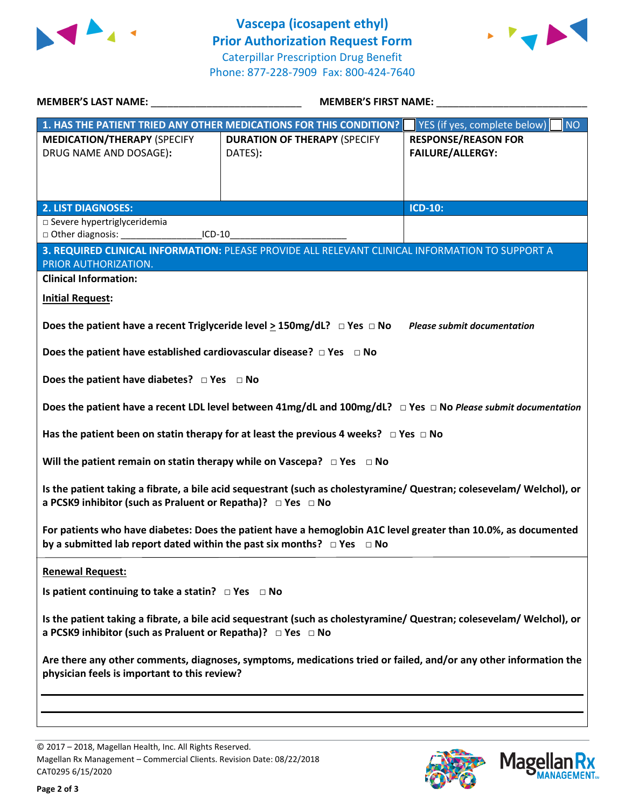



| MEMBER'S LAST NAME: _________________________________                                                                                                                                              | <b>MEMBER'S FIRST NAME:</b>                                                                                                  |                                    |  |  |
|----------------------------------------------------------------------------------------------------------------------------------------------------------------------------------------------------|------------------------------------------------------------------------------------------------------------------------------|------------------------------------|--|--|
|                                                                                                                                                                                                    | 1. HAS THE PATIENT TRIED ANY OTHER MEDICATIONS FOR THIS CONDITION?                                                           | YES (if yes, complete below)<br>NO |  |  |
| <b>MEDICATION/THERAPY (SPECIFY</b>                                                                                                                                                                 | <b>DURATION OF THERAPY (SPECIFY</b>                                                                                          | <b>RESPONSE/REASON FOR</b>         |  |  |
| DRUG NAME AND DOSAGE):                                                                                                                                                                             | DATES):                                                                                                                      | <b>FAILURE/ALLERGY:</b>            |  |  |
|                                                                                                                                                                                                    |                                                                                                                              |                                    |  |  |
|                                                                                                                                                                                                    |                                                                                                                              |                                    |  |  |
| <b>2. LIST DIAGNOSES:</b>                                                                                                                                                                          |                                                                                                                              | <b>ICD-10:</b>                     |  |  |
| □ Severe hypertriglyceridemia                                                                                                                                                                      |                                                                                                                              |                                    |  |  |
| □ Other diagnosis: _____________________ICD-10_                                                                                                                                                    |                                                                                                                              |                                    |  |  |
| PRIOR AUTHORIZATION.                                                                                                                                                                               | 3. REQUIRED CLINICAL INFORMATION: PLEASE PROVIDE ALL RELEVANT CLINICAL INFORMATION TO SUPPORT A                              |                                    |  |  |
| <b>Clinical Information:</b>                                                                                                                                                                       |                                                                                                                              |                                    |  |  |
| <b>Initial Request:</b>                                                                                                                                                                            |                                                                                                                              |                                    |  |  |
|                                                                                                                                                                                                    |                                                                                                                              |                                    |  |  |
|                                                                                                                                                                                                    | Does the patient have a recent Triglyceride level $\geq$ 150mg/dL? $\Box$ Yes $\Box$ No Please submit documentation          |                                    |  |  |
|                                                                                                                                                                                                    |                                                                                                                              |                                    |  |  |
| Does the patient have established cardiovascular disease? $\Box$ Yes $\Box$ No                                                                                                                     |                                                                                                                              |                                    |  |  |
| Does the patient have diabetes? $\Box$ Yes $\Box$ No                                                                                                                                               |                                                                                                                              |                                    |  |  |
|                                                                                                                                                                                                    |                                                                                                                              |                                    |  |  |
|                                                                                                                                                                                                    | Does the patient have a recent LDL level between $41mg/dL$ and $100mg/dL$ ? $\Box$ Yes $\Box$ No Please submit documentation |                                    |  |  |
| Has the patient been on statin therapy for at least the previous 4 weeks? $\Box$ Yes $\Box$ No                                                                                                     |                                                                                                                              |                                    |  |  |
| Will the patient remain on statin therapy while on Vascepa? $\Box$ Yes $\Box$ No                                                                                                                   |                                                                                                                              |                                    |  |  |
| Is the patient taking a fibrate, a bile acid sequestrant (such as cholestyramine/ Questran; colesevelam/ Welchol), or<br>a PCSK9 inhibitor (such as Praluent or Repatha)? □ Yes □ No               |                                                                                                                              |                                    |  |  |
| For patients who have diabetes: Does the patient have a hemoglobin A1C level greater than 10.0%, as documented<br>by a submitted lab report dated within the past six months? $\Box$ Yes $\Box$ No |                                                                                                                              |                                    |  |  |
| <b>Renewal Request:</b>                                                                                                                                                                            |                                                                                                                              |                                    |  |  |
| Is patient continuing to take a statin? $\Box$ Yes $\Box$ No                                                                                                                                       |                                                                                                                              |                                    |  |  |
|                                                                                                                                                                                                    |                                                                                                                              |                                    |  |  |
| a PCSK9 inhibitor (such as Praluent or Repatha)? □ Yes □ No                                                                                                                                        | Is the patient taking a fibrate, a bile acid sequestrant (such as cholestyramine/ Questran; colesevelam/ Welchol), or        |                                    |  |  |
| Are there any other comments, diagnoses, symptoms, medications tried or failed, and/or any other information the<br>physician feels is important to this review?                                   |                                                                                                                              |                                    |  |  |
|                                                                                                                                                                                                    |                                                                                                                              |                                    |  |  |
|                                                                                                                                                                                                    |                                                                                                                              |                                    |  |  |
|                                                                                                                                                                                                    |                                                                                                                              |                                    |  |  |